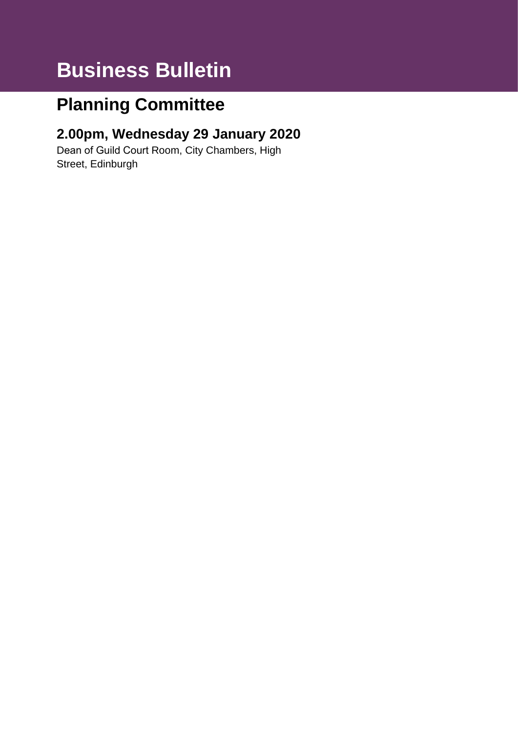# **Business Bulletin**

## **Planning Committee**

### **2.00pm, Wednesday 29 January 2020**

Dean of Guild Court Room, City Chambers, High Street, Edinburgh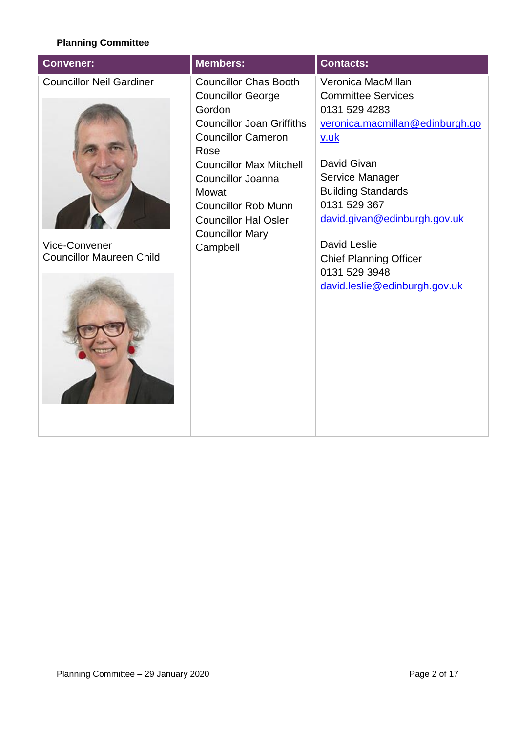#### **Planning Committee**

| <b>Convener:</b>                                                                    | Members:                                                                                                                                                                                                                                                                                                       | <b>Contacts:</b>                                                                                                                                                                                                                                                                                                                            |
|-------------------------------------------------------------------------------------|----------------------------------------------------------------------------------------------------------------------------------------------------------------------------------------------------------------------------------------------------------------------------------------------------------------|---------------------------------------------------------------------------------------------------------------------------------------------------------------------------------------------------------------------------------------------------------------------------------------------------------------------------------------------|
| <b>Councillor Neil Gardiner</b><br>Vice-Convener<br><b>Councillor Maureen Child</b> | <b>Councillor Chas Booth</b><br><b>Councillor George</b><br>Gordon<br><b>Councillor Joan Griffiths</b><br><b>Councillor Cameron</b><br>Rose<br><b>Councillor Max Mitchell</b><br>Councillor Joanna<br>Mowat<br><b>Councillor Rob Munn</b><br><b>Councillor Hal Osler</b><br><b>Councillor Mary</b><br>Campbell | Veronica MacMillan<br><b>Committee Services</b><br>0131 529 4283<br>veronica.macmillan@edinburgh.go<br><u>v.uk</u><br>David Givan<br>Service Manager<br><b>Building Standards</b><br>0131 529 367<br>david.givan@edinburgh.gov.uk<br><b>David Leslie</b><br><b>Chief Planning Officer</b><br>0131 529 3948<br>david.leslie@edinburgh.gov.uk |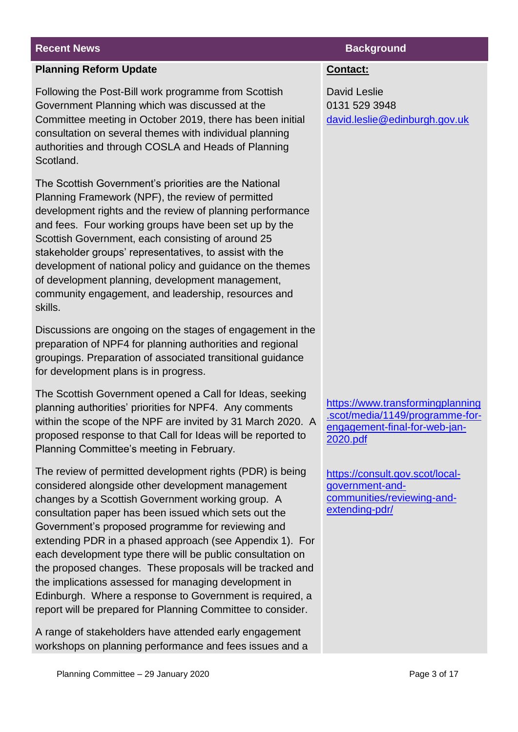#### **Planning Reform Update**

Following the Post-Bill work programme from Scottish Government Planning which was discussed at the Committee meeting in October 2019, there has been initial consultation on several themes with individual planning authorities and through COSLA and Heads of Planning Scotland.

The Scottish Government's priorities are the National Planning Framework (NPF), the review of permitted development rights and the review of planning performance and fees. Four working groups have been set up by the Scottish Government, each consisting of around 25 stakeholder groups' representatives, to assist with the development of national policy and guidance on the themes of development planning, development management, community engagement, and leadership, resources and skills.

Discussions are ongoing on the stages of engagement in the preparation of NPF4 for planning authorities and regional groupings. Preparation of associated transitional guidance for development plans is in progress.

The Scottish Government opened a Call for Ideas, seeking planning authorities' priorities for NPF4. Any comments within the scope of the NPF are invited by 31 March 2020. A proposed response to that Call for Ideas will be reported to Planning Committee's meeting in February.

The review of permitted development rights (PDR) is being considered alongside other development management changes by a Scottish Government working group. A consultation paper has been issued which sets out the Government's proposed programme for reviewing and extending PDR in a phased approach (see Appendix 1). For each development type there will be public consultation on the proposed changes. These proposals will be tracked and the implications assessed for managing development in Edinburgh. Where a response to Government is required, a report will be prepared for Planning Committee to consider.

A range of stakeholders have attended early engagement workshops on planning performance and fees issues and a

#### **Recent News Background**

#### **Contact:**

David Leslie 0131 529 3948 [david.leslie@edinburgh.gov.uk](mailto:david.leslie@edinburgh.gov.uk)

[https://www.transformingplanning](https://www.transformingplanning.scot/media/1149/programme-for-engagement-final-for-web-jan-2020.pdf) [.scot/media/1149/programme-for](https://www.transformingplanning.scot/media/1149/programme-for-engagement-final-for-web-jan-2020.pdf)[engagement-final-for-web-jan-](https://www.transformingplanning.scot/media/1149/programme-for-engagement-final-for-web-jan-2020.pdf)[2020.pdf](https://www.transformingplanning.scot/media/1149/programme-for-engagement-final-for-web-jan-2020.pdf)

[https://consult.gov.scot/local](https://consult.gov.scot/local-government-and-communities/reviewing-and-extending-pdr/)[government-and](https://consult.gov.scot/local-government-and-communities/reviewing-and-extending-pdr/)[communities/reviewing-and](https://consult.gov.scot/local-government-and-communities/reviewing-and-extending-pdr/)[extending-pdr/](https://consult.gov.scot/local-government-and-communities/reviewing-and-extending-pdr/)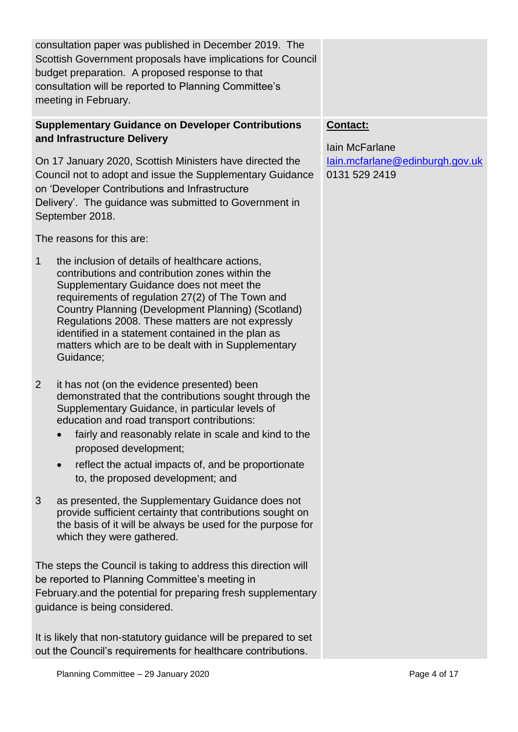|              | consultation paper was published in December 2019. The<br>Scottish Government proposals have implications for Council<br>budget preparation. A proposed response to that<br>consultation will be reported to Planning Committee's<br>meeting in February.                                                                                                                                                                               |                                                  |
|--------------|-----------------------------------------------------------------------------------------------------------------------------------------------------------------------------------------------------------------------------------------------------------------------------------------------------------------------------------------------------------------------------------------------------------------------------------------|--------------------------------------------------|
|              | <b>Supplementary Guidance on Developer Contributions</b><br>and Infrastructure Delivery                                                                                                                                                                                                                                                                                                                                                 | Contact:<br><b>lain McFarlane</b>                |
|              | On 17 January 2020, Scottish Ministers have directed the<br>Council not to adopt and issue the Supplementary Guidance<br>on 'Developer Contributions and Infrastructure<br>Delivery'. The guidance was submitted to Government in<br>September 2018.                                                                                                                                                                                    | lain.mcfarlane@edinburgh.gov.uk<br>0131 529 2419 |
|              | The reasons for this are:                                                                                                                                                                                                                                                                                                                                                                                                               |                                                  |
| $\mathbf{1}$ | the inclusion of details of healthcare actions,<br>contributions and contribution zones within the<br>Supplementary Guidance does not meet the<br>requirements of regulation 27(2) of The Town and<br>Country Planning (Development Planning) (Scotland)<br>Regulations 2008. These matters are not expressly<br>identified in a statement contained in the plan as<br>matters which are to be dealt with in Supplementary<br>Guidance; |                                                  |
| 2            | it has not (on the evidence presented) been<br>demonstrated that the contributions sought through the<br>Supplementary Guidance, in particular levels of<br>education and road transport contributions:<br>fairly and reasonably relate in scale and kind to the<br>proposed development;<br>reflect the actual impacts of, and be proportionate<br>to, the proposed development; and                                                   |                                                  |
| 3            | as presented, the Supplementary Guidance does not<br>provide sufficient certainty that contributions sought on<br>the basis of it will be always be used for the purpose for<br>which they were gathered.                                                                                                                                                                                                                               |                                                  |
|              | The steps the Council is taking to address this direction will<br>be reported to Planning Committee's meeting in<br>February and the potential for preparing fresh supplementary<br>guidance is being considered.                                                                                                                                                                                                                       |                                                  |

It is likely that non-statutory guidance will be prepared to set out the Council's requirements for healthcare contributions.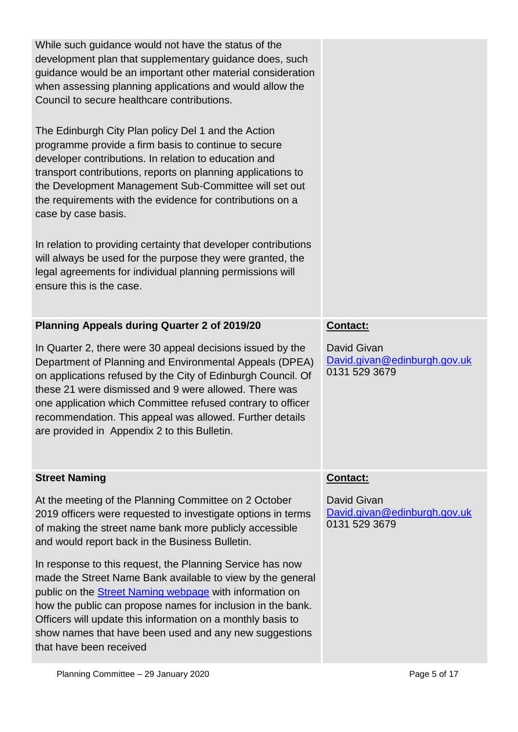| While such guidance would not have the status of the<br>development plan that supplementary guidance does, such<br>guidance would be an important other material consideration<br>when assessing planning applications and would allow the<br>Council to secure healthcare contributions.                                                                                         |                                                              |
|-----------------------------------------------------------------------------------------------------------------------------------------------------------------------------------------------------------------------------------------------------------------------------------------------------------------------------------------------------------------------------------|--------------------------------------------------------------|
| The Edinburgh City Plan policy Del 1 and the Action<br>programme provide a firm basis to continue to secure<br>developer contributions. In relation to education and<br>transport contributions, reports on planning applications to<br>the Development Management Sub-Committee will set out<br>the requirements with the evidence for contributions on a<br>case by case basis. |                                                              |
| In relation to providing certainty that developer contributions<br>will always be used for the purpose they were granted, the<br>legal agreements for individual planning permissions will<br>ensure this is the case.                                                                                                                                                            |                                                              |
| Planning Appeals during Quarter 2 of 2019/20                                                                                                                                                                                                                                                                                                                                      | Contact:                                                     |
| In Quarter 2, there were 30 appeal decisions issued by the<br>Department of Planning and Environmental Appeals (DPEA)                                                                                                                                                                                                                                                             | David Givan<br>David.givan@edinburgh.gov.uk                  |
| on applications refused by the City of Edinburgh Council. Of<br>these 21 were dismissed and 9 were allowed. There was<br>one application which Committee refused contrary to officer<br>recommendation. This appeal was allowed. Further details<br>are provided in Appendix 2 to this Bulletin.                                                                                  | 0131 529 3679                                                |
| <b>Street Naming</b>                                                                                                                                                                                                                                                                                                                                                              | Contact:                                                     |
| At the meeting of the Planning Committee on 2 October<br>2019 officers were requested to investigate options in terms<br>of making the street name bank more publicly accessible<br>and would report back in the Business Bulletin.                                                                                                                                               | David Givan<br>David.givan@edinburgh.gov.uk<br>0131 529 3679 |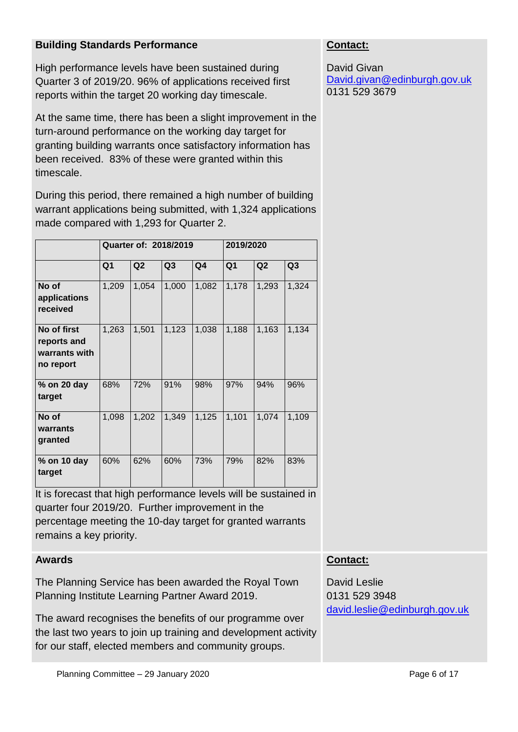#### **Building Standards Performance**

High performance levels have been sustained during Quarter 3 of 2019/20. 96% of applications received first reports within the target 20 working day timescale.

At the same time, there has been a slight improvement in the turn-around performance on the working day target for granting building warrants once satisfactory information has been received. 83% of these were granted within this timescale.

During this period, there remained a high number of building warrant applications being submitted, with 1,324 applications made compared with 1,293 for Quarter 2.

|                                                          |                | Quarter of: 2018/2019 |       | 2019/2020      |                |                |                |
|----------------------------------------------------------|----------------|-----------------------|-------|----------------|----------------|----------------|----------------|
|                                                          | Q <sub>1</sub> | Q2                    | Q3    | Q <sub>4</sub> | Q <sub>1</sub> | Q <sub>2</sub> | Q <sub>3</sub> |
| No of<br>applications<br>received                        | 1,209          | 1,054                 | 1,000 | 1,082          | 1,178          | 1,293          | 1,324          |
| No of first<br>reports and<br>warrants with<br>no report | 1,263          | 1,501                 | 1,123 | 1,038          | 1,188          | 1,163          | 1,134          |
| % on 20 day<br>target                                    | 68%            | 72%                   | 91%   | 98%            | 97%            | 94%            | 96%            |
| No of<br>warrants<br>granted                             | 1,098          | 1,202                 | 1,349 | 1,125          | 1,101          | 1,074          | 1,109          |
| % on 10 day<br>target                                    | 60%            | 62%                   | 60%   | 73%            | 79%            | 82%            | 83%            |

It is forecast that high performance levels will be sustained in quarter four 2019/20. Further improvement in the percentage meeting the 10-day target for granted warrants remains a key priority.

#### **Awards**

The Planning Service has been awarded the Royal Town Planning Institute Learning Partner Award 2019.

The award recognises the benefits of our programme over the last two years to join up training and development activity for our staff, elected members and community groups.

### **Contact:**

David Givan [David.givan@edinburgh.gov.uk](mailto:David.givan@edinburgh.gov.uk) 0131 529 3679

#### **Contact:**

David Leslie 0131 529 3948 [david.leslie@edinburgh.gov.uk](mailto:david.leslie@edinburgh.gov.uk)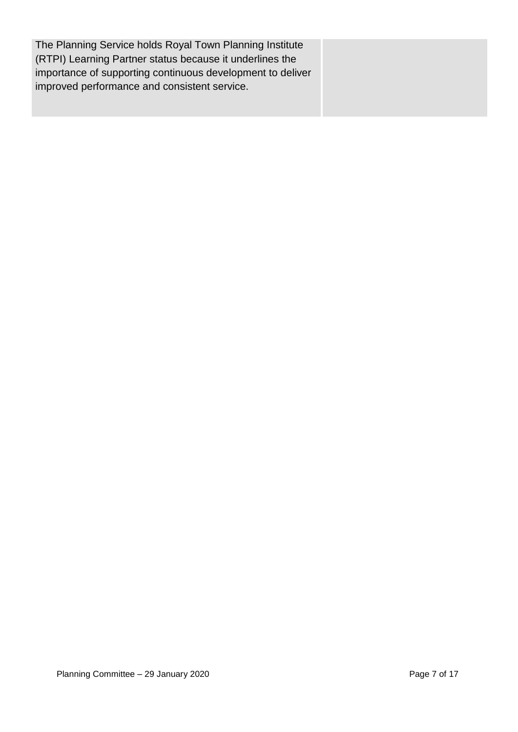The Planning Service holds Royal Town Planning Institute (RTPI) Learning Partner status because it underlines the importance of supporting continuous development to deliver improved performance and consistent service.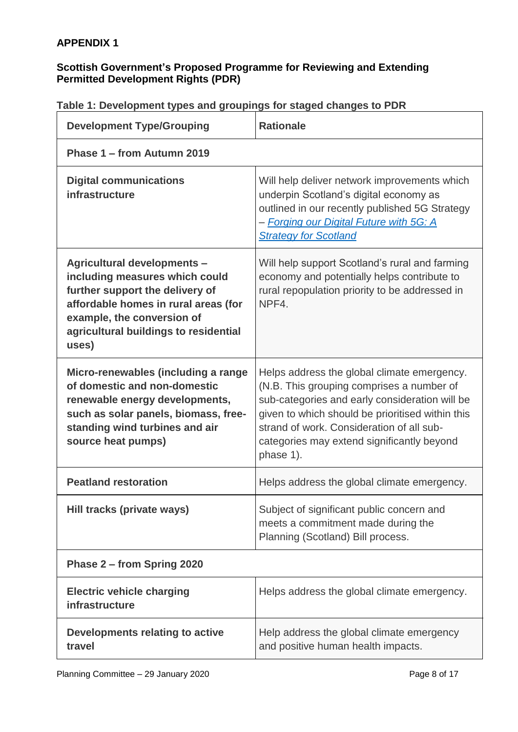#### **APPENDIX 1**

#### **Scottish Government's Proposed Programme for Reviewing and Extending Permitted Development Rights (PDR)**

| <b>Development Type/Grouping</b>                                                                                                                                                                                                | <b>Rationale</b>                                                                                                                                                                                                                                                                                       |  |  |  |  |
|---------------------------------------------------------------------------------------------------------------------------------------------------------------------------------------------------------------------------------|--------------------------------------------------------------------------------------------------------------------------------------------------------------------------------------------------------------------------------------------------------------------------------------------------------|--|--|--|--|
| Phase 1 – from Autumn 2019                                                                                                                                                                                                      |                                                                                                                                                                                                                                                                                                        |  |  |  |  |
| <b>Digital communications</b><br>infrastructure                                                                                                                                                                                 | Will help deliver network improvements which<br>underpin Scotland's digital economy as<br>outlined in our recently published 5G Strategy<br>- Forging our Digital Future with 5G: A<br><b>Strategy for Scotland</b>                                                                                    |  |  |  |  |
| <b>Agricultural developments -</b><br>including measures which could<br>further support the delivery of<br>affordable homes in rural areas (for<br>example, the conversion of<br>agricultural buildings to residential<br>uses) | Will help support Scotland's rural and farming<br>economy and potentially helps contribute to<br>rural repopulation priority to be addressed in<br>NPF4.                                                                                                                                               |  |  |  |  |
| Micro-renewables (including a range<br>of domestic and non-domestic<br>renewable energy developments,<br>such as solar panels, biomass, free-<br>standing wind turbines and air<br>source heat pumps)                           | Helps address the global climate emergency.<br>(N.B. This grouping comprises a number of<br>sub-categories and early consideration will be<br>given to which should be prioritised within this<br>strand of work. Consideration of all sub-<br>categories may extend significantly beyond<br>phase 1). |  |  |  |  |
| <b>Peatland restoration</b>                                                                                                                                                                                                     | Helps address the global climate emergency.                                                                                                                                                                                                                                                            |  |  |  |  |
| Hill tracks (private ways)                                                                                                                                                                                                      | Subject of significant public concern and<br>meets a commitment made during the<br>Planning (Scotland) Bill process.                                                                                                                                                                                   |  |  |  |  |
| Phase 2 – from Spring 2020                                                                                                                                                                                                      |                                                                                                                                                                                                                                                                                                        |  |  |  |  |
| <b>Electric vehicle charging</b><br>infrastructure                                                                                                                                                                              | Helps address the global climate emergency.                                                                                                                                                                                                                                                            |  |  |  |  |
| Developments relating to active<br>travel                                                                                                                                                                                       | Help address the global climate emergency<br>and positive human health impacts.                                                                                                                                                                                                                        |  |  |  |  |

#### **Table 1: Development types and groupings for staged changes to PDR**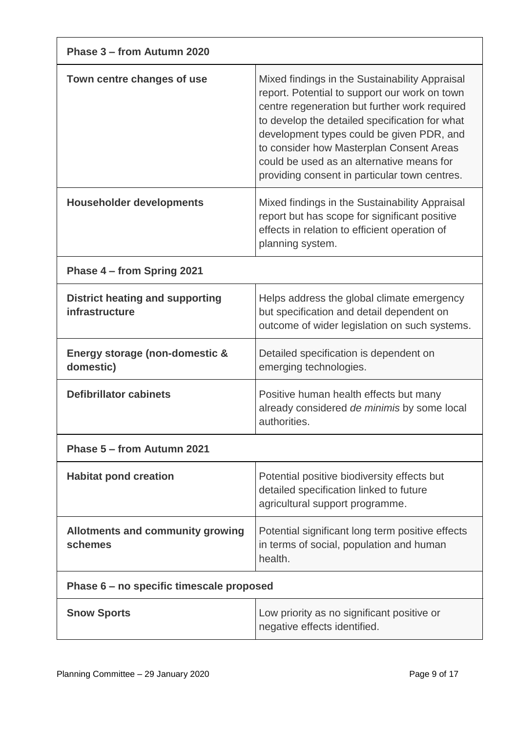| Phase 3 - from Autumn 2020                               |                                                                                                                                                                                                                                                                                                                                                                                           |  |  |  |  |  |
|----------------------------------------------------------|-------------------------------------------------------------------------------------------------------------------------------------------------------------------------------------------------------------------------------------------------------------------------------------------------------------------------------------------------------------------------------------------|--|--|--|--|--|
| Town centre changes of use                               | Mixed findings in the Sustainability Appraisal<br>report. Potential to support our work on town<br>centre regeneration but further work required<br>to develop the detailed specification for what<br>development types could be given PDR, and<br>to consider how Masterplan Consent Areas<br>could be used as an alternative means for<br>providing consent in particular town centres. |  |  |  |  |  |
| <b>Householder developments</b>                          | Mixed findings in the Sustainability Appraisal<br>report but has scope for significant positive<br>effects in relation to efficient operation of<br>planning system.                                                                                                                                                                                                                      |  |  |  |  |  |
| Phase 4 – from Spring 2021                               |                                                                                                                                                                                                                                                                                                                                                                                           |  |  |  |  |  |
| <b>District heating and supporting</b><br>infrastructure | Helps address the global climate emergency<br>but specification and detail dependent on<br>outcome of wider legislation on such systems.                                                                                                                                                                                                                                                  |  |  |  |  |  |
| Energy storage (non-domestic &<br>domestic)              | Detailed specification is dependent on<br>emerging technologies.                                                                                                                                                                                                                                                                                                                          |  |  |  |  |  |
| <b>Defibrillator cabinets</b>                            | Positive human health effects but many<br>already considered de minimis by some local<br>authorities.                                                                                                                                                                                                                                                                                     |  |  |  |  |  |
| Phase 5 - from Autumn 2021                               |                                                                                                                                                                                                                                                                                                                                                                                           |  |  |  |  |  |
| <b>Habitat pond creation</b>                             | Potential positive biodiversity effects but<br>detailed specification linked to future<br>agricultural support programme.                                                                                                                                                                                                                                                                 |  |  |  |  |  |
| <b>Allotments and community growing</b><br>schemes       | Potential significant long term positive effects<br>in terms of social, population and human<br>health.                                                                                                                                                                                                                                                                                   |  |  |  |  |  |
| Phase 6 – no specific timescale proposed                 |                                                                                                                                                                                                                                                                                                                                                                                           |  |  |  |  |  |
| <b>Snow Sports</b>                                       | Low priority as no significant positive or<br>negative effects identified.                                                                                                                                                                                                                                                                                                                |  |  |  |  |  |

 $\Gamma$ 

٦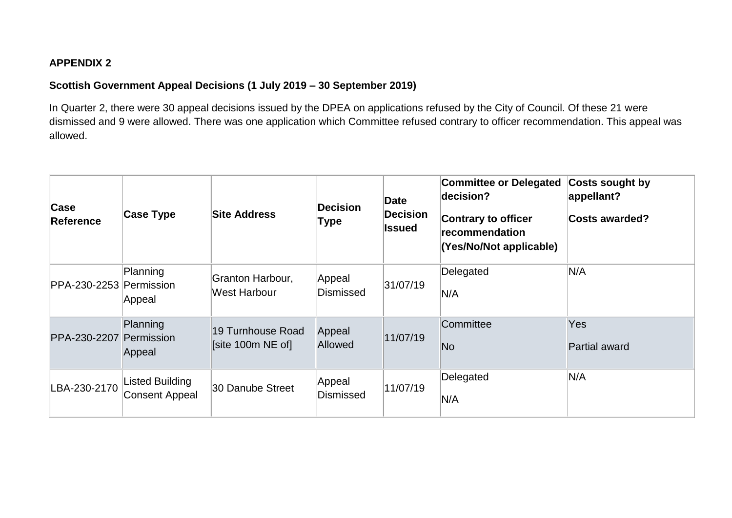#### **APPENDIX 2**

#### **Scottish Government Appeal Decisions (1 July 2019 – 30 September 2019)**

In Quarter 2, there were 30 appeal decisions issued by the DPEA on applications refused by the City of Council. Of these 21 were dismissed and 9 were allowed. There was one application which Committee refused contrary to officer recommendation. This appeal was allowed.

| Case<br>Reference | <b>Case Type</b>                  | <b>Site Address</b>                    | <b>Decision</b><br>Type    | Date<br><b>Decision</b><br>Issued | <b>Committee or Delegated</b><br>decision?<br>Contrary to officer<br><b>recommendation</b><br>(Yes/No/Not applicable) | Costs sought by<br>appellant?<br><b>Costs awarded?</b> |
|-------------------|-----------------------------------|----------------------------------------|----------------------------|-----------------------------------|-----------------------------------------------------------------------------------------------------------------------|--------------------------------------------------------|
| PPA-230-2253      | Planning<br>Permission<br>Appeal  | Granton Harbour,<br>West Harbour       | Appeal<br>Dismissed        | 31/07/19                          | Delegated<br>N/A                                                                                                      | N/A                                                    |
| PPA-230-2207      | Planning<br>Permission<br>Appeal  | 19 Turnhouse Road<br>[site 100m NE of] | Appeal<br>Allowed          | 11/07/19                          | Committee<br>No                                                                                                       | <b>Yes</b><br>Partial award                            |
| LBA-230-2170      | Listed Building<br>Consent Appeal | 30 Danube Street                       | Appeal<br><b>Dismissed</b> | 11/07/19                          | Delegated<br>N/A                                                                                                      | N/A                                                    |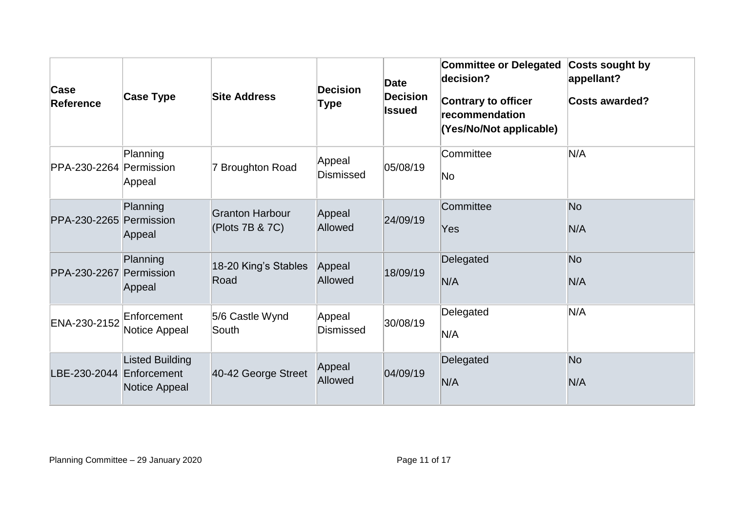| Case<br><b>Reference</b> | Case Type                               | <b>Site Address</b>                       | <b>Decision</b><br>Type    | Date<br><b>Decision</b><br><b>Issued</b> | <b>Committee or Delegated</b><br>decision?<br><b>Contrary to officer</b><br>recommendation<br>(Yes/No/Not applicable) | Costs sought by<br>appellant?<br><b>Costs awarded?</b> |
|--------------------------|-----------------------------------------|-------------------------------------------|----------------------------|------------------------------------------|-----------------------------------------------------------------------------------------------------------------------|--------------------------------------------------------|
| PPA-230-2264 Permission  | Planning<br>Appeal                      | 7 Broughton Road                          | Appeal<br><b>Dismissed</b> | 05/08/19                                 | Committee<br>No                                                                                                       | N/A                                                    |
| PPA-230-2265 Permission  | Planning<br>Appeal                      | <b>Granton Harbour</b><br>(Plots 7B & 7C) | Appeal<br>Allowed          | 24/09/19                                 | Committee<br>Yes                                                                                                      | <b>No</b><br>N/A                                       |
| PPA-230-2267             | Planning<br>Permission<br>Appeal        | 18-20 King's Stables<br>Road              | Appeal<br>Allowed          | 18/09/19                                 | Delegated<br>N/A                                                                                                      | N <sub>o</sub><br>N/A                                  |
| ENA-230-2152             | Enforcement<br>Notice Appeal            | 5/6 Castle Wynd<br>South                  | Appeal<br><b>Dismissed</b> | 30/08/19                                 | Delegated<br>N/A                                                                                                      | N/A                                                    |
| LBE-230-2044 Enforcement | <b>Listed Building</b><br>Notice Appeal | 40-42 George Street                       | Appeal<br>Allowed          | 04/09/19                                 | Delegated<br>N/A                                                                                                      | <b>No</b><br>N/A                                       |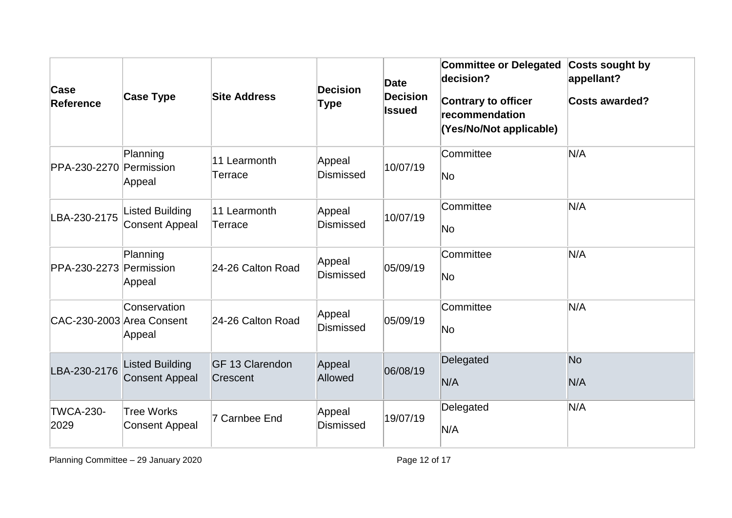| Case<br><b>Reference</b>  | <b>Case Type</b>                                | <b>Site Address</b>         | <b>Decision</b><br>Type    | Date<br><b>Decision</b><br><b>Issued</b> | <b>Committee or Delegated</b><br>decision?<br><b>Contrary to officer</b><br>recommendation<br>(Yes/No/Not applicable) | <b>Costs sought by</b><br>appellant?<br><b>Costs awarded?</b> |
|---------------------------|-------------------------------------------------|-----------------------------|----------------------------|------------------------------------------|-----------------------------------------------------------------------------------------------------------------------|---------------------------------------------------------------|
| PPA-230-2270 Permission   | Planning<br>Appeal                              | 11 Learmonth<br>Terrace     | Appeal<br><b>Dismissed</b> | 10/07/19                                 | Committee<br>No                                                                                                       | N/A                                                           |
| LBA-230-2175              | <b>Listed Building</b><br>Consent Appeal        | 11 Learmonth<br>Terrace     | Appeal<br><b>Dismissed</b> | 10/07/19                                 | Committee<br>No                                                                                                       | N/A                                                           |
| PPA-230-2273 Permission   | Planning<br>Appeal                              | 24-26 Calton Road           | Appeal<br><b>Dismissed</b> | 05/09/19                                 | Committee<br>No                                                                                                       | N/A                                                           |
| CAC-230-2003 Area Consent | Conservation<br>Appeal                          | 24-26 Calton Road           | Appeal<br><b>Dismissed</b> | 05/09/19                                 | Committee<br>No                                                                                                       | N/A                                                           |
| LBA-230-2176              | <b>Listed Building</b><br><b>Consent Appeal</b> | GF 13 Clarendon<br>Crescent | Appeal<br>Allowed          | 06/08/19                                 | Delegated<br>N/A                                                                                                      | N <sub>o</sub><br>N/A                                         |
| <b>TWCA-230-</b><br>2029  | <b>Tree Works</b><br><b>Consent Appeal</b>      | 7 Carnbee End               | Appeal<br><b>Dismissed</b> | 19/07/19                                 | Delegated<br>N/A                                                                                                      | N/A                                                           |

Planning Committee – 29 January 2020 **Planning Committee – 29 January 2020** Page 12 of 17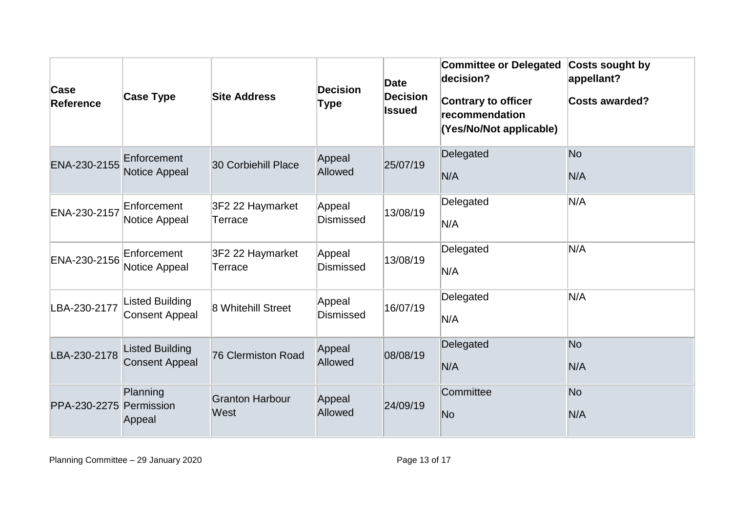| Case<br><b>Reference</b> | <b>Case Type</b>                                | <b>Site Address</b>            | <b>Decision</b><br>Type    | Date<br><b>Decision</b><br>Issued | <b>Committee or Delegated</b><br>decision?<br><b>Contrary to officer</b><br>recommendation<br>(Yes/No/Not applicable) | Costs sought by<br>appellant?<br><b>Costs awarded?</b> |
|--------------------------|-------------------------------------------------|--------------------------------|----------------------------|-----------------------------------|-----------------------------------------------------------------------------------------------------------------------|--------------------------------------------------------|
| ENA-230-2155             | Enforcement<br>Notice Appeal                    | 30 Corbiehill Place            | Appeal<br>Allowed          | 25/07/19                          | Delegated<br>N/A                                                                                                      | No<br>N/A                                              |
| ENA-230-2157             | Enforcement<br>Notice Appeal                    | 3F2 22 Haymarket<br>Terrace    | Appeal<br><b>Dismissed</b> | 13/08/19                          | Delegated<br>N/A                                                                                                      | N/A                                                    |
| ENA-230-2156             | Enforcement<br>Notice Appeal                    | 3F2 22 Haymarket<br>Terrace    | Appeal<br><b>Dismissed</b> | 13/08/19                          | Delegated<br>N/A                                                                                                      | N/A                                                    |
| LBA-230-2177             | <b>Listed Building</b><br><b>Consent Appeal</b> | 8 Whitehill Street             | Appeal<br><b>Dismissed</b> | 16/07/19                          | Delegated<br>N/A                                                                                                      | N/A                                                    |
| LBA-230-2178             | <b>Listed Building</b><br><b>Consent Appeal</b> | 76 Clermiston Road             | Appeal<br>Allowed          | 08/08/19                          | Delegated<br>N/A                                                                                                      | N <sub>o</sub><br>N/A                                  |
| PPA-230-2275 Permission  | Planning<br>Appeal                              | <b>Granton Harbour</b><br>West | Appeal<br>Allowed          | 24/09/19                          | Committee<br>No                                                                                                       | N <sub>o</sub><br>N/A                                  |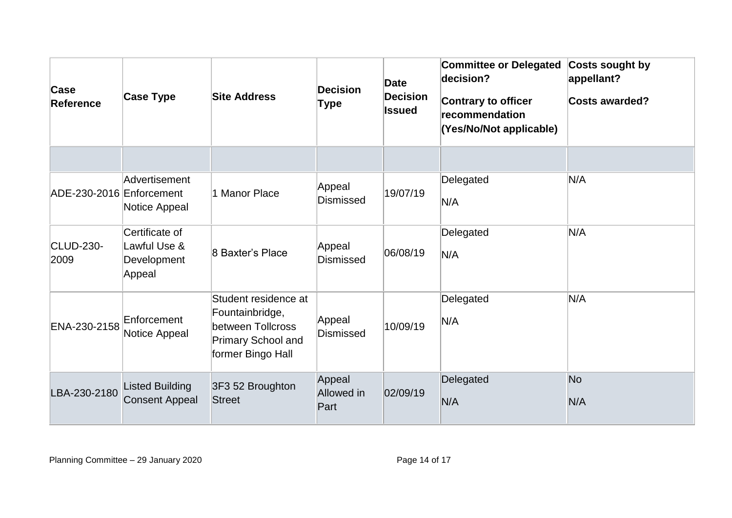| Case<br><b>Reference</b> | <b>Case Type</b>                                        | <b>Site Address</b>                                                                                     | <b>Decision</b><br>Type      | <b>Date</b><br><b>Decision</b><br><b>Issued</b> | <b>Committee or Delegated</b><br>decision?<br><b>Contrary to officer</b><br>recommendation<br>(Yes/No/Not applicable) | Costs sought by<br>appellant?<br><b>Costs awarded?</b> |
|--------------------------|---------------------------------------------------------|---------------------------------------------------------------------------------------------------------|------------------------------|-------------------------------------------------|-----------------------------------------------------------------------------------------------------------------------|--------------------------------------------------------|
| ADE-230-2016 Enforcement | Advertisement<br>Notice Appeal                          | 1 Manor Place                                                                                           | Appeal<br><b>Dismissed</b>   | 19/07/19                                        | Delegated<br>N/A                                                                                                      | N/A                                                    |
| <b>CLUD-230-</b><br>2009 | Certificate of<br>Lawful Use &<br>Development<br>Appeal | 8 Baxter's Place                                                                                        | Appeal<br><b>Dismissed</b>   | 06/08/19                                        | Delegated<br>N/A                                                                                                      | N/A                                                    |
| ENA-230-2158             | Enforcement<br>Notice Appeal                            | Student residence at<br>Fountainbridge,<br>between Tollcross<br>Primary School and<br>former Bingo Hall | Appeal<br><b>Dismissed</b>   | 10/09/19                                        | Delegated<br>N/A                                                                                                      | N/A                                                    |
| LBA-230-2180             | <b>Listed Building</b><br><b>Consent Appeal</b>         | 3F3 52 Broughton<br><b>Street</b>                                                                       | Appeal<br>Allowed in<br>Part | 02/09/19                                        | Delegated<br>N/A                                                                                                      | No<br>N/A                                              |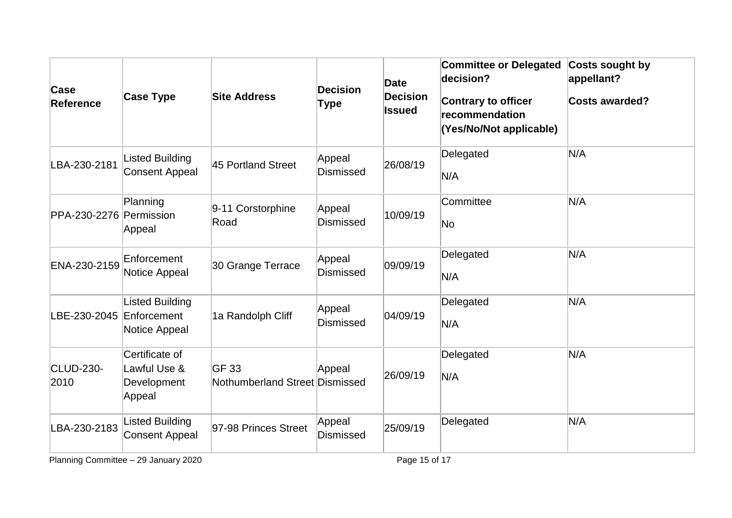| Case<br><b>Reference</b> | <b>Case Type</b>                                        | <b>Site Address</b>                     | <b>Decision</b><br><b>Type</b> | <b>Date</b><br><b>Decision</b><br><b>Issued</b> | <b>Committee or Delegated</b><br>decision?<br>Contrary to officer<br>recommendation<br>(Yes/No/Not applicable) | Costs sought by<br>appellant?<br><b>Costs awarded?</b> |
|--------------------------|---------------------------------------------------------|-----------------------------------------|--------------------------------|-------------------------------------------------|----------------------------------------------------------------------------------------------------------------|--------------------------------------------------------|
| LBA-230-2181             | <b>Listed Building</b><br>Consent Appeal                | 45 Portland Street                      | Appeal<br><b>Dismissed</b>     | 26/08/19                                        | Delegated<br>N/A                                                                                               | N/A                                                    |
| PPA-230-2276 Permission  | Planning<br>Appeal                                      | 9-11 Corstorphine<br>Road               | Appeal<br><b>Dismissed</b>     | 10/09/19                                        | Committee<br>$\overline{\mathsf{No}}$                                                                          | N/A                                                    |
| ENA-230-2159             | Enforcement<br>Notice Appeal                            | 30 Grange Terrace                       | Appeal<br><b>Dismissed</b>     | 09/09/19                                        | Delegated<br>N/A                                                                                               | N/A                                                    |
| LBE-230-2045             | <b>Listed Building</b><br>Enforcement<br>Notice Appeal  | 1a Randolph Cliff                       | Appeal<br><b>Dismissed</b>     | 04/09/19                                        | Delegated<br>N/A                                                                                               | N/A                                                    |
| <b>CLUD-230-</b><br>2010 | Certificate of<br>Lawful Use &<br>Development<br>Appeal | GF 33<br>Nothumberland Street Dismissed | Appeal                         | 26/09/19                                        | Delegated<br>N/A                                                                                               | N/A                                                    |
| LBA-230-2183             | <b>Listed Building</b><br><b>Consent Appeal</b>         | 97-98 Princes Street                    | Appeal<br><b>Dismissed</b>     | 25/09/19                                        | Delegated                                                                                                      | N/A                                                    |

Planning Committee – 29 January 2020 Planning Committee – 29 January 2020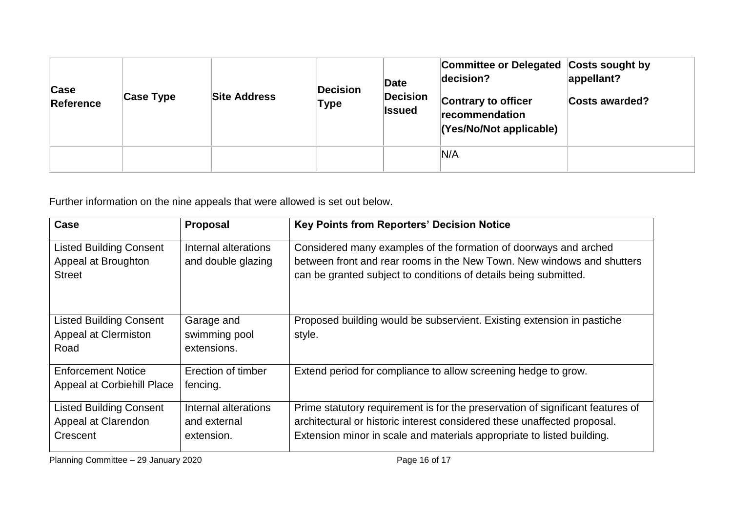| Case<br>Reference | Case Type | <b>Site Address</b> | <b>Decision</b><br>Type | Date<br><b>Decision</b><br><b>Issued</b> | Committee or Delegated Costs sought by<br>decision?<br>Contrary to officer<br>recommendation<br>(Yes/No/Not applicable) | appellant?<br><b>Costs awarded?</b> |
|-------------------|-----------|---------------------|-------------------------|------------------------------------------|-------------------------------------------------------------------------------------------------------------------------|-------------------------------------|
|                   |           |                     |                         |                                          | N/A                                                                                                                     |                                     |

Further information on the nine appeals that were allowed is set out below.

| Case                                                                   | <b>Proposal</b>                                    | <b>Key Points from Reporters' Decision Notice</b>                                                                                                                                                                                    |
|------------------------------------------------------------------------|----------------------------------------------------|--------------------------------------------------------------------------------------------------------------------------------------------------------------------------------------------------------------------------------------|
| <b>Listed Building Consent</b><br>Appeal at Broughton<br><b>Street</b> | Internal alterations<br>and double glazing         | Considered many examples of the formation of doorways and arched<br>between front and rear rooms in the New Town. New windows and shutters<br>can be granted subject to conditions of details being submitted.                       |
| <b>Listed Building Consent</b><br>Appeal at Clermiston<br>Road         | Garage and<br>swimming pool<br>extensions.         | Proposed building would be subservient. Existing extension in pastiche<br>style.                                                                                                                                                     |
| <b>Enforcement Notice</b><br><b>Appeal at Corbiehill Place</b>         | Erection of timber<br>fencing.                     | Extend period for compliance to allow screening hedge to grow.                                                                                                                                                                       |
| <b>Listed Building Consent</b><br>Appeal at Clarendon<br>Crescent      | Internal alterations<br>and external<br>extension. | Prime statutory requirement is for the preservation of significant features of<br>architectural or historic interest considered these unaffected proposal.<br>Extension minor in scale and materials appropriate to listed building. |

Planning Committee – 29 January 2020 Planning Committee – 29 January 2020